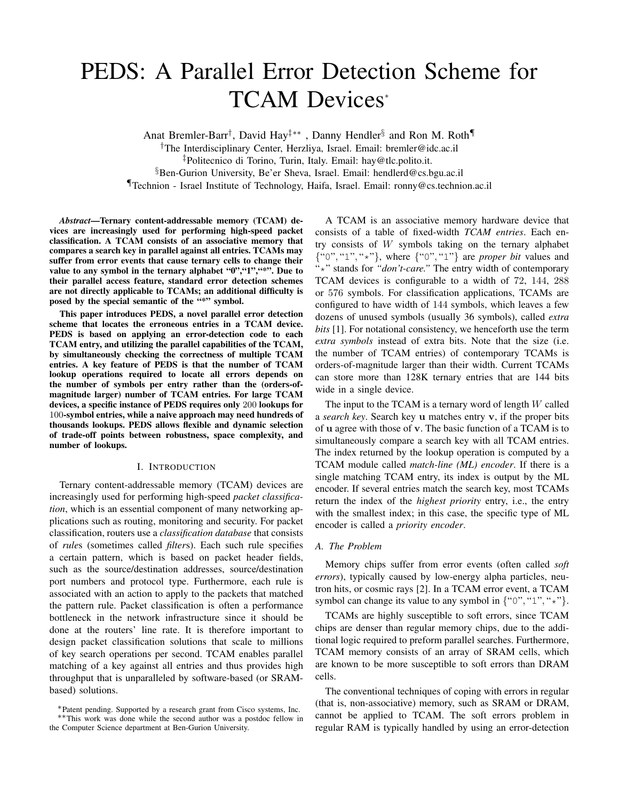# PEDS: A Parallel Error Detection Scheme for TCAM Devices<sup>∗</sup>

Anat Bremler-Barr<sup>†</sup>, David Hay<sup>‡∗∗</sup>, Danny Hendler<sup>§</sup> and Ron M. Roth¶

†The Interdisciplinary Center, Herzliya, Israel. Email: bremler@idc.ac.il

‡Politecnico di Torino, Turin, Italy. Email: hay@tlc.polito.it.

§Ben-Gurion University, Be'er Sheva, Israel. Email: hendlerd@cs.bgu.ac.il

¶Technion - Israel Institute of Technology, Haifa, Israel. Email: ronny@cs.technion.ac.il

*Abstract*—Ternary content-addressable memory (TCAM) devices are increasingly used for performing high-speed packet classification. A TCAM consists of an associative memory that compares a search key in parallel against all entries. TCAMs may suffer from error events that cause ternary cells to change their value to any symbol in the ternary alphabet "0","1","\*". Due to their parallel access feature, standard error detection schemes are not directly applicable to TCAMs; an additional difficulty is posed by the special semantic of the "\*" symbol.

This paper introduces PEDS, a novel parallel error detection scheme that locates the erroneous entries in a TCAM device. PEDS is based on applying an error-detection code to each TCAM entry, and utilizing the parallel capabilities of the TCAM, by simultaneously checking the correctness of multiple TCAM entries. A key feature of PEDS is that the number of TCAM lookup operations required to locate all errors depends on the number of symbols per entry rather than the (orders-ofmagnitude larger) number of TCAM entries. For large TCAM devices, a specific instance of PEDS requires only 200 lookups for 100-symbol entries, while a naive approach may need hundreds of thousands lookups. PEDS allows flexible and dynamic selection of trade-off points between robustness, space complexity, and number of lookups.

# I. INTRODUCTION

Ternary content-addressable memory (TCAM) devices are increasingly used for performing high-speed *packet classification*, which is an essential component of many networking applications such as routing, monitoring and security. For packet classification, routers use a *classification database* that consists of *rule*s (sometimes called *filter*s). Each such rule specifies a certain pattern, which is based on packet header fields, such as the source/destination addresses, source/destination port numbers and protocol type. Furthermore, each rule is associated with an action to apply to the packets that matched the pattern rule. Packet classification is often a performance bottleneck in the network infrastructure since it should be done at the routers' line rate. It is therefore important to design packet classification solutions that scale to millions of key search operations per second. TCAM enables parallel matching of a key against all entries and thus provides high throughput that is unparalleled by software-based (or SRAMbased) solutions.

A TCAM is an associative memory hardware device that consists of a table of fixed-width *TCAM entries*. Each entry consists of W symbols taking on the ternary alphabet  $\{``0", "1", "**"\}$ , where  $\{``0", "1"\}$  are *proper bit* values and "\*" stands for *"don't-care."* The entry width of contemporary TCAM devices is configurable to a width of 72, 144, 288 or 576 symbols. For classification applications, TCAMs are configured to have width of 144 symbols, which leaves a few dozens of unused symbols (usually 36 symbols), called *extra bits* [1]. For notational consistency, we henceforth use the term *extra symbols* instead of extra bits. Note that the size (i.e. the number of TCAM entries) of contemporary TCAMs is orders-of-magnitude larger than their width. Current TCAMs can store more than 128K ternary entries that are 144 bits wide in a single device.

The input to the TCAM is a ternary word of length  $W$  called a *search key*. Search key u matches entry v, if the proper bits of u agree with those of v. The basic function of a TCAM is to simultaneously compare a search key with all TCAM entries. The index returned by the lookup operation is computed by a TCAM module called *match-line (ML) encoder*. If there is a single matching TCAM entry, its index is output by the ML encoder. If several entries match the search key, most TCAMs return the index of the *highest priority* entry, i.e., the entry with the smallest index; in this case, the specific type of ML encoder is called a *priority encoder*.

#### *A. The Problem*

Memory chips suffer from error events (often called *soft errors*), typically caused by low-energy alpha particles, neutron hits, or cosmic rays [2]. In a TCAM error event, a TCAM symbol can change its value to any symbol in  $\{``0", "1", "*"\}$ .

TCAMs are highly susceptible to soft errors, since TCAM chips are denser than regular memory chips, due to the additional logic required to preform parallel searches. Furthermore, TCAM memory consists of an array of SRAM cells, which are known to be more susceptible to soft errors than DRAM cells.

The conventional techniques of coping with errors in regular (that is, non-associative) memory, such as SRAM or DRAM, cannot be applied to TCAM. The soft errors problem in regular RAM is typically handled by using an error-detection

<sup>∗</sup>Patent pending. Supported by a research grant from Cisco systems, Inc. ∗∗This work was done while the second author was a postdoc fellow in the Computer Science department at Ben-Gurion University.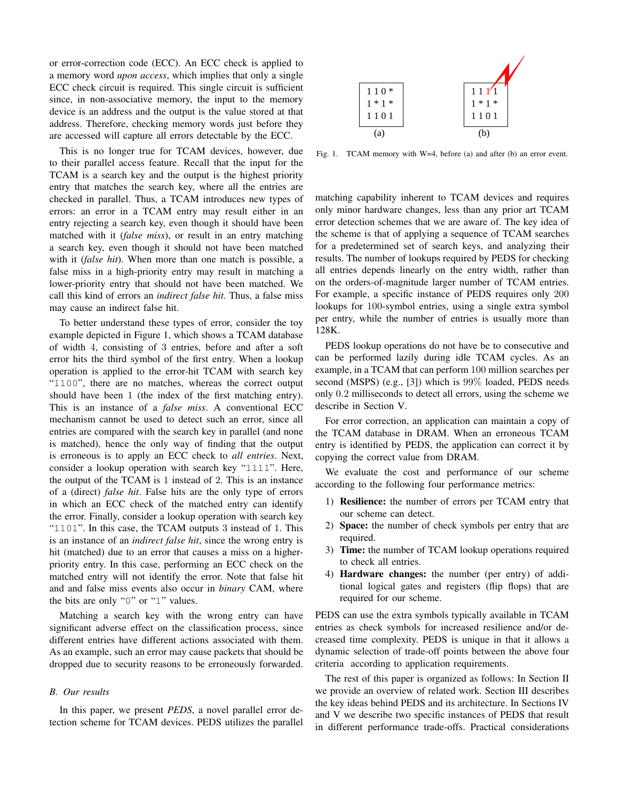or error-correction code (ECC). An ECC check is applied to a memory word *upon access*, which implies that only a single ECC check circuit is required. This single circuit is sufficient since, in non-associative memory, the input to the memory device is an address and the output is the value stored at that address. Therefore, checking memory words just before they are accessed will capture all errors detectable by the ECC.

This is no longer true for TCAM devices, however, due to their parallel access feature. Recall that the input for the TCAM is a search key and the output is the highest priority entry that matches the search key, where all the entries are checked in parallel. Thus, a TCAM introduces new types of errors: an error in a TCAM entry may result either in an entry rejecting a search key, even though it should have been matched with it (*false miss*), or result in an entry matching a search key, even though it should not have been matched with it (*false hit*). When more than one match is possible, a false miss in a high-priority entry may result in matching a lower-priority entry that should not have been matched. We call this kind of errors an *indirect false hit*. Thus, a false miss may cause an indirect false hit.

To better understand these types of error, consider the toy example depicted in Figure 1, which shows a TCAM database of width 4, consisting of 3 entries, before and after a soft error hits the third symbol of the first entry. When a lookup operation is applied to the error-hit TCAM with search key "1100", there are no matches, whereas the correct output should have been 1 (the index of the first matching entry). This is an instance of a *false miss*. A conventional ECC mechanism cannot be used to detect such an error, since all entries are compared with the search key in parallel (and none is matched), hence the only way of finding that the output is erroneous is to apply an ECC check to *all entries*. Next, consider a lookup operation with search key "1111". Here, the output of the TCAM is 1 instead of 2. This is an instance of a (direct) *false hit*. False hits are the only type of errors in which an ECC check of the matched entry can identify the error. Finally, consider a lookup operation with search key "1101". In this case, the TCAM outputs 3 instead of 1. This is an instance of an *indirect false hit*, since the wrong entry is hit (matched) due to an error that causes a miss on a higherpriority entry. In this case, performing an ECC check on the matched entry will not identify the error. Note that false hit and and false miss events also occur in *binary* CAM, where the bits are only "0" or "1" values. ENCEMENT IN COLUMBER (2) The scheme for the same of the scheme for the same of the scheme for the parallel in the scheme for the same of the parallel in the scheme for the parallel in the parallel in the parallel in the p

Matching a search key with the wrong entry can have significant adverse effect on the classification process, since different entries have different actions associated with them. As an example, such an error may cause packets that should be dropped due to security reasons to be erroneously forwarded.

#### *B. Our results*

In this paper, we present *PEDS*, a novel parallel error de-

| $110*$    | 111'      |
|-----------|-----------|
| $1 * 1 *$ | $1 * 1 *$ |
| 1101      | 1101      |
|           |           |

Fig. 1. TCAM memory with W=4, before (a) and after (b) an error event.

matching capability inherent to TCAM devices and requires only minor hardware changes, less than any prior art TCAM error detection schemes that we are aware of. The key idea of the scheme is that of applying a sequence of TCAM searches for a predetermined set of search keys, and analyzing their results. The number of lookups required by PEDS for checking all entries depends linearly on the entry width, rather than on the orders-of-magnitude larger number of TCAM entries. For example, a specific instance of PEDS requires only 200 lookups for 100-symbol entries, using a single extra symbol per entry, while the number of entries is usually more than 128K.

PEDS lookup operations do not have be to consecutive and can be performed lazily during idle TCAM cycles. As an example, in a TCAM that can perform 100 million searches per second (MSPS) (e.g., [3]) which is 99% loaded, PEDS needs only 0.2 milliseconds to detect all errors, using the scheme we describe in Section V.

For error correction, an application can maintain a copy of the TCAM database in DRAM. When an erroneous TCAM entry is identified by PEDS, the application can correct it by copying the correct value from DRAM.

We evaluate the cost and performance of our scheme according to the following four performance metrics:

- 1) Resilience: the number of errors per TCAM entry that our scheme can detect.
- 2) Space: the number of check symbols per entry that are required.
- 3) Time: the number of TCAM lookup operations required to check all entries.
- 4) Hardware changes: the number (per entry) of additional logical gates and registers (flip flops) that are required for our scheme.

PEDS can use the extra symbols typically available in TCAM entries as check symbols for increased resilience and/or decreased time complexity. PEDS is unique in that it allows a dynamic selection of trade-off points between the above four criteria according to application requirements.

The rest of this paper is organized as follows: In Section II we provide an overview of related work. Section III describes the key ideas behind PEDS and its architecture. In Sections IV and V we describe two specific instances of PEDS that result in different performance trade-offs. Practical considerations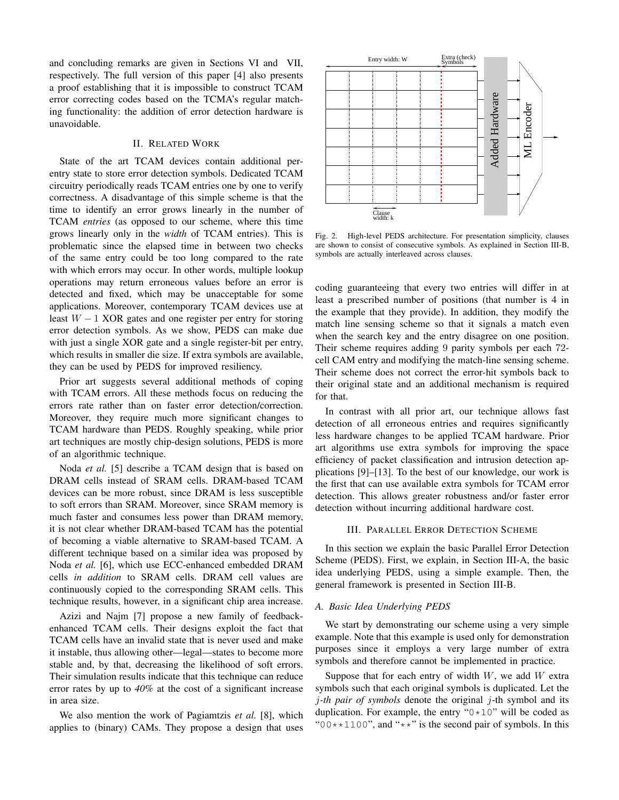and concluding remarks are given in Sections VI and VII, respectively. The full version of this paper [4] also presents a proof establishing that it is impossible to construct TCAM error correcting codes based on the TCMA's regular matching functionality: the addition of error detection hardware is unavoidable.

# II. RELATED WORK

State of the art TCAM devices contain additional perentry state to store error detection symbols. Dedicated TCAM circuitry periodically reads TCAM entries one by one to verify correctness. A disadvantage of this simple scheme is that the time to identify an error grows linearly in the number of TCAM *entries* (as opposed to our scheme, where this time grows linearly only in the *width* of TCAM entries). This is problematic since the elapsed time in between two checks of the same entry could be too long compared to the rate with which errors may occur. In other words, multiple lookup operations may return erroneous values before an error is detected and fixed, which may be unacceptable for some applications. Moreover, contemporary TCAM devices use at least  $W - 1$  XOR gates and one register per entry for storing error detection symbols. As we show, PEDS can make due with just a single XOR gate and a single register-bit per entry, which results in smaller die size. If extra symbols are available, they can be used by PEDS for improved resiliency.

Prior art suggests several additional methods of coping with TCAM errors. All these methods focus on reducing the errors rate rather than on faster error detection/correction. Moreover, they require much more significant changes to TCAM hardware than PEDS. Roughly speaking, while prior art techniques are mostly chip-design solutions, PEDS is more of an algorithmic technique.

Noda *et al.* [5] describe a TCAM design that is based on DRAM cells instead of SRAM cells. DRAM-based TCAM devices can be more robust, since DRAM is less susceptible to soft errors than SRAM. Moreover, since SRAM memory is much faster and consumes less power than DRAM memory, it is not clear whether DRAM-based TCAM has the potential of becoming a viable alternative to SRAM-based TCAM. A different technique based on a similar idea was proposed by Noda *et al.* [6], which use ECC-enhanced embedded DRAM cells *in addition* to SRAM cells. DRAM cell values are continuously copied to the corresponding SRAM cells. This technique results, however, in a significant chip area increase.

Azizi and Najm [7] propose a new family of feedbackenhanced TCAM cells. Their designs exploit the fact that TCAM cells have an invalid state that is never used and make it instable, thus allowing other—legal—states to become more stable and, by that, decreasing the likelihood of soft errors. Their simulation results indicate that this technique can reduce error rates by up to *40%* at the cost of a significant increase in area size.

We also mention the work of Pagiamtzis *et al.* [8], which applies to (binary) CAMs. They propose a design that uses



Fig. 2. High-level PEDS architecture. For presentation simplicity, clauses are shown to consist of consecutive symbols. As explained in Section III-B, symbols are actually interleaved across clauses.

coding guaranteeing that every two entries will differ in at least a prescribed number of positions (that number is 4 in the example that they provide). In addition, they modify the match line sensing scheme so that it signals a match even when the search key and the entry disagree on one position. Their scheme requires adding 9 parity symbols per each 72 cell CAM entry and modifying the match-line sensing scheme. Their scheme does not correct the error-hit symbols back to their original state and an additional mechanism is required for that.

In contrast with all prior art, our technique allows fast detection of all erroneous entries and requires significantly less hardware changes to be applied TCAM hardware. Prior art algorithms use extra symbols for improving the space efficiency of packet classification and intrusion detection applications [9]–[13]. To the best of our knowledge, our work is the first that can use available extra symbols for TCAM error detection. This allows greater robustness and/or faster error detection without incurring additional hardware cost.

# III. PARALLEL ERROR DETECTION SCHEME

In this section we explain the basic Parallel Error Detection Scheme (PEDS). First, we explain, in Section III-A, the basic idea underlying PEDS, using a simple example. Then, the general framework is presented in Section III-B.

# *A. Basic Idea Underlying PEDS*

We start by demonstrating our scheme using a very simple example. Note that this example is used only for demonstration purposes since it employs a very large number of extra symbols and therefore cannot be implemented in practice.

Suppose that for each entry of width  $W$ , we add  $W$  extra symbols such that each original symbols is duplicated. Let the j*-th pair of symbols* denote the original j-th symbol and its duplication. For example, the entry " $0*10$ " will be coded as " $00**1100$ ", and "\*\*" is the second pair of symbols. In this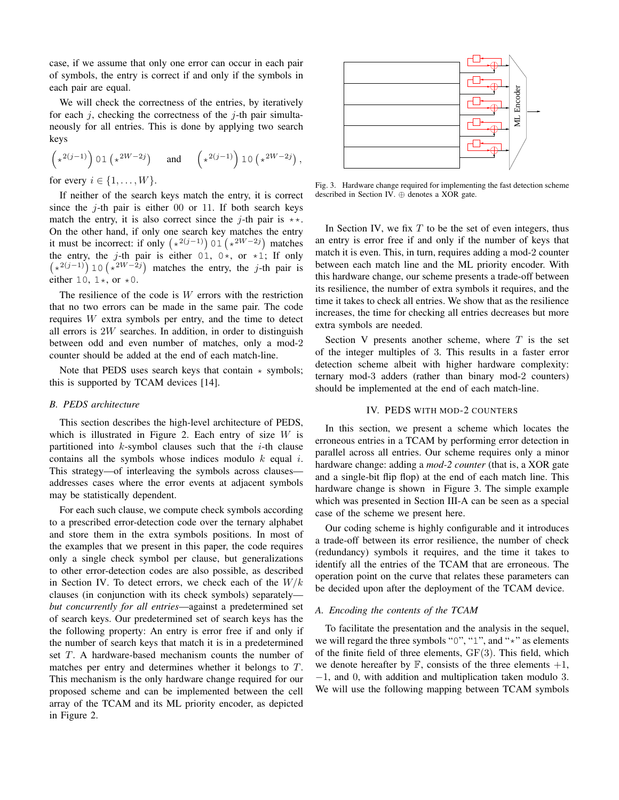case, if we assume that only one error can occur in each pair of symbols, the entry is correct if and only if the symbols in each pair are equal.

We will check the correctness of the entries, by iteratively for each  $j$ , checking the correctness of the  $j$ -th pair simultaneously for all entries. This is done by applying two search keys

$$
\left(*^{2(j-1)}\right)
$$
 01  $\left(*^{2W-2j}\right)$  and  $\left(*^{2(j-1)}\right)$  10  $\left(*^{2W-2j}\right)$ ,

for every  $i \in \{1, \ldots, W\}$ .

If neither of the search keys match the entry, it is correct since the  $i$ -th pair is either 00 or 11. If both search keys match the entry, it is also correct since the j-th pair is  $**$ . On the other hand, if only one search key matches the entry On the other hand, if only one search key matches the entry<br>it must be incorrect: if only  $(x^{2(j-1)})$  01  $(x^{2W-2j})$  matches the entry, the *j*-th pair is either 01, 0\*, or \*1; If only \* 2(j−1)¢ <sup>10</sup> ¡ \* 2W−2j matches the entry, the j-th pair is either 10,  $1*,$  or  $*0$ .

The resilience of the code is  $W$  errors with the restriction that no two errors can be made in the same pair. The code requires W extra symbols per entry, and the time to detect all errors is  $2W$  searches. In addition, in order to distinguish between odd and even number of matches, only a mod-2 counter should be added at the end of each match-line.

Note that PEDS uses search keys that contain  $\star$  symbols; this is supported by TCAM devices [14].

# *B. PEDS architecture*

This section describes the high-level architecture of PEDS, which is illustrated in Figure 2. Each entry of size  $W$  is partitioned into  $k$ -symbol clauses such that the  $i$ -th clause contains all the symbols whose indices modulo  $k$  equal  $i$ . This strategy—of interleaving the symbols across clauses addresses cases where the error events at adjacent symbols may be statistically dependent.

For each such clause, we compute check symbols according to a prescribed error-detection code over the ternary alphabet and store them in the extra symbols positions. In most of the examples that we present in this paper, the code requires only a single check symbol per clause, but generalizations to other error-detection codes are also possible, as described in Section IV. To detect errors, we check each of the  $W/k$ clauses (in conjunction with its check symbols) separately *but concurrently for all entries*—against a predetermined set of search keys. Our predetermined set of search keys has the the following property: An entry is error free if and only if the number of search keys that match it is in a predetermined set T. A hardware-based mechanism counts the number of matches per entry and determines whether it belongs to T. This mechanism is the only hardware change required for our proposed scheme and can be implemented between the cell array of the TCAM and its ML priority encoder, as depicted in Figure 2.



Fig. 3. Hardware change required for implementing the fast detection scheme described in Section IV. ⊕ denotes a XOR gate.

In Section IV, we fix  $T$  to be the set of even integers, thus an entry is error free if and only if the number of keys that match it is even. This, in turn, requires adding a mod-2 counter between each match line and the ML priority encoder. With this hardware change, our scheme presents a trade-off between its resilience, the number of extra symbols it requires, and the time it takes to check all entries. We show that as the resilience increases, the time for checking all entries decreases but more extra symbols are needed.

Section V presents another scheme, where  $T$  is the set of the integer multiples of 3. This results in a faster error detection scheme albeit with higher hardware complexity: ternary mod-3 adders (rather than binary mod-2 counters) should be implemented at the end of each match-line.

#### IV. PEDS WITH MOD-2 COUNTERS

In this section, we present a scheme which locates the erroneous entries in a TCAM by performing error detection in parallel across all entries. Our scheme requires only a minor hardware change: adding a *mod-2 counter* (that is, a XOR gate and a single-bit flip flop) at the end of each match line. This hardware change is shown in Figure 3. The simple example which was presented in Section III-A can be seen as a special case of the scheme we present here.

Our coding scheme is highly configurable and it introduces a trade-off between its error resilience, the number of check (redundancy) symbols it requires, and the time it takes to identify all the entries of the TCAM that are erroneous. The operation point on the curve that relates these parameters can be decided upon after the deployment of the TCAM device.

#### *A. Encoding the contents of the TCAM*

To facilitate the presentation and the analysis in the sequel, we will regard the three symbols " $0$ ", "1", and " $*$ " as elements of the finite field of three elements,  $GF(3)$ . This field, which we denote hereafter by  $\mathbb{F}$ , consists of the three elements  $+1$ , −1, and 0, with addition and multiplication taken modulo 3. We will use the following mapping between TCAM symbols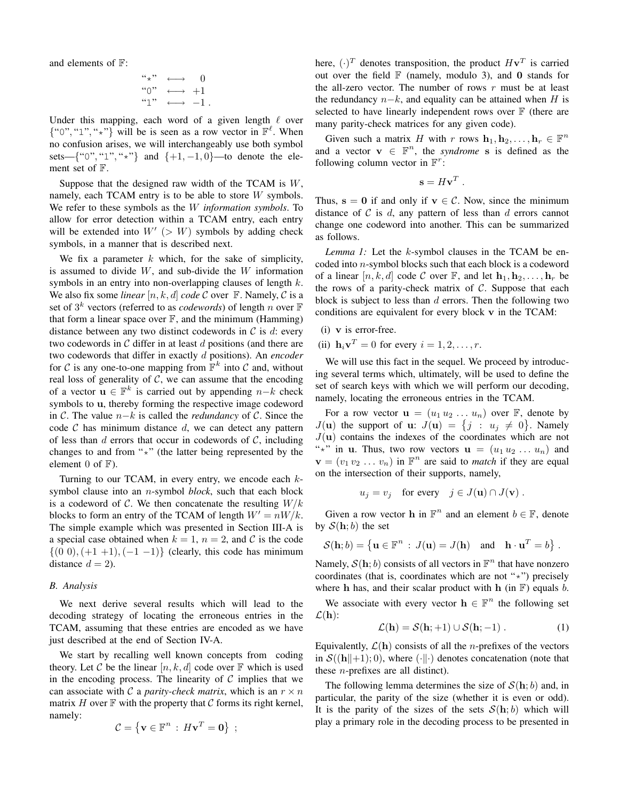and elements of F:

$$
\begin{array}{rcl}\n\text{``}\star"\ &\longleftrightarrow& 0\\
\text{``0''} & \longleftrightarrow& +1\\
\text{``1''} & \longleftrightarrow& -1\,. \n\end{array}
$$

Under this mapping, each word of a given length  $\ell$  over  $\{``0", "1", "*"\}$  will be is seen as a row vector in  $\mathbb{F}^{\ell}$ . When no confusion arises, we will interchangeably use both symbol sets—{"0", "1", "\*"} and  $\{+1, -1, 0\}$ —to denote the element set of F.

Suppose that the designed raw width of the TCAM is  $W$ , namely, each TCAM entry is to be able to store W symbols. We refer to these symbols as the W *information symbols*. To allow for error detection within a TCAM entry, each entry will be extended into  $W'$  ( $> W$ ) symbols by adding check symbols, in a manner that is described next.

We fix a parameter  $k$  which, for the sake of simplicity, is assumed to divide  $W$ , and sub-divide the  $W$  information symbols in an entry into non-overlapping clauses of length  $k$ . We also fix some *linear*  $[n, k, d]$  *code*  $C$  over  $\mathbb{F}$ . Namely,  $C$  is a set of  $3^k$  vectors (referred to as *codewords*) of length n over  $\mathbb F$ that form a linear space over  $\mathbb{F}$ , and the minimum (Hamming) distance between any two distinct codewords in  $C$  is  $d$ : every two codewords in  $C$  differ in at least  $d$  positions (and there are two codewords that differ in exactly d positions). An *encoder* for C is any one-to-one mapping from  $\mathbb{F}^k$  into C and, without real loss of generality of  $C$ , we can assume that the encoding of a vector  $\mathbf{u} \in \mathbb{F}^k$  is carried out by appending  $n-k$  check symbols to u, thereby forming the respective image codeword in C. The value n−k is called the *redundancy* of C. Since the code  $C$  has minimum distance  $d$ , we can detect any pattern of less than  $d$  errors that occur in codewords of  $C$ , including changes to and from "\*" (the latter being represented by the element  $0$  of  $\mathbb{F}$ ).

Turning to our TCAM, in every entry, we encode each  $k$ symbol clause into an n-symbol *block*, such that each block is a codeword of C. We then concatenate the resulting  $W/k$ blocks to form an entry of the TCAM of length  $W' = nW/k$ . The simple example which was presented in Section III-A is a special case obtained when  $k = 1$ ,  $n = 2$ , and C is the code  $\{(0\ 0), (+1\ +1), (-1\ -1)\}$  (clearly, this code has minimum distance  $d = 2$ ).

#### *B. Analysis*

We next derive several results which will lead to the decoding strategy of locating the erroneous entries in the TCAM, assuming that these entries are encoded as we have just described at the end of Section IV-A.

We start by recalling well known concepts from coding theory. Let C be the linear  $[n, k, d]$  code over  $\mathbb F$  which is used in the encoding process. The linearity of  $\mathcal C$  implies that we can associate with C a *parity-check matrix*, which is an  $r \times n$ matrix H over  $\mathbb F$  with the property that C forms its right kernel, namely: © ª

$$
\mathcal{C} = \{ \mathbf{v} \in \mathbb{F}^n : H\mathbf{v}^T = \mathbf{0} \} ;
$$

here,  $(\cdot)^T$  denotes transposition, the product  $H\mathbf{v}^T$  is carried out over the field  $\mathbb F$  (namely, modulo 3), and 0 stands for the all-zero vector. The number of rows  $r$  must be at least the redundancy  $n-k$ , and equality can be attained when H is selected to have linearly independent rows over  $F$  (there are many parity-check matrices for any given code).

Given such a matrix H with r rows  $\mathbf{h}_1, \mathbf{h}_2, \ldots, \mathbf{h}_r \in \mathbb{F}^n$ and a vector  $\mathbf{v} \in \mathbb{F}^n$ , the *syndrome* **s** is defined as the following column vector in  $\mathbb{F}^r$ :

$$
\mathbf{s} = H\mathbf{v}^T.
$$

Thus,  $s = 0$  if and only if  $v \in C$ . Now, since the minimum distance of C is d, any pattern of less than d errors cannot change one codeword into another. This can be summarized as follows.

*Lemma 1:* Let the k-symbol clauses in the TCAM be encoded into n-symbol blocks such that each block is a codeword of a linear  $[n, k, d]$  code C over F, and let  $\mathbf{h}_1, \mathbf{h}_2, \ldots, \mathbf{h}_r$  be the rows of a parity-check matrix of  $C$ . Suppose that each block is subject to less than  $d$  errors. Then the following two conditions are equivalent for every block v in the TCAM:

(i) v is error-free.

(ii) 
$$
\mathbf{h}_i \mathbf{v}^T = 0
$$
 for every  $i = 1, 2, ..., r$ .

We will use this fact in the sequel. We proceed by introducing several terms which, ultimately, will be used to define the set of search keys with which we will perform our decoding, namely, locating the erroneous entries in the TCAM.

For a row vector  $\mathbf{u} = (u_1 u_2 \dots u_n)$  over  $\mathbb{F}$ , denote by For a row vector  $\mathbf{u} = (u_1 u_2 ... u_n)$  over  $\mathbb{F}$ , denote by  $J(\mathbf{u})$  the support of  $\mathbf{u}: J(\mathbf{u}) = \{j : u_j \neq 0\}$ . Namely  $J(\mathbf{u})$  contains the indexes of the coordinates which are not "\*" in u. Thus, two row vectors  $\mathbf{u} = (u_1 u_2 ... u_n)$  and  $\mathbf{v} = (v_1 v_2 \dots v_n)$  in  $\mathbb{F}^n$  are said to *match* if they are equal on the intersection of their supports, namely,

$$
u_j = v_j
$$
 for every  $j \in J(\mathbf{u}) \cap J(\mathbf{v})$ .

Given a row vector **h** in  $\mathbb{F}^n$  and an element  $b \in \mathbb{F}$ , denote by  $S(h; b)$  the set

$$
\mathcal{S}(\mathbf{h};b) = \left\{ \mathbf{u} \in \mathbb{F}^n \, : \, J(\mathbf{u}) = J(\mathbf{h}) \quad \text{and} \quad \mathbf{h} \cdot \mathbf{u}^T = b \right\}.
$$

Namely,  $S(h; b)$  consists of all vectors in  $\mathbb{F}^n$  that have nonzero coordinates (that is, coordinates which are not " $\star$ ") precisely where h has, and their scalar product with h (in  $F$ ) equals b.

We associate with every vector  $h \in \mathbb{F}^n$  the following set  $\mathcal{L}(\mathbf{h})$ :

$$
\mathcal{L}(\mathbf{h}) = \mathcal{S}(\mathbf{h}; +1) \cup \mathcal{S}(\mathbf{h}; -1) . \tag{1}
$$

Equivalently,  $\mathcal{L}(\mathbf{h})$  consists of all the *n*-prefixes of the vectors in  $\mathcal{S}((\mathbf{h}||+1); 0)$ , where  $(\cdot||\cdot)$  denotes concatenation (note that these n-prefixes are all distinct).

The following lemma determines the size of  $\mathcal{S}(\mathbf{h}; b)$  and, in particular, the parity of the size (whether it is even or odd). It is the parity of the sizes of the sets  $S(h; b)$  which will play a primary role in the decoding process to be presented in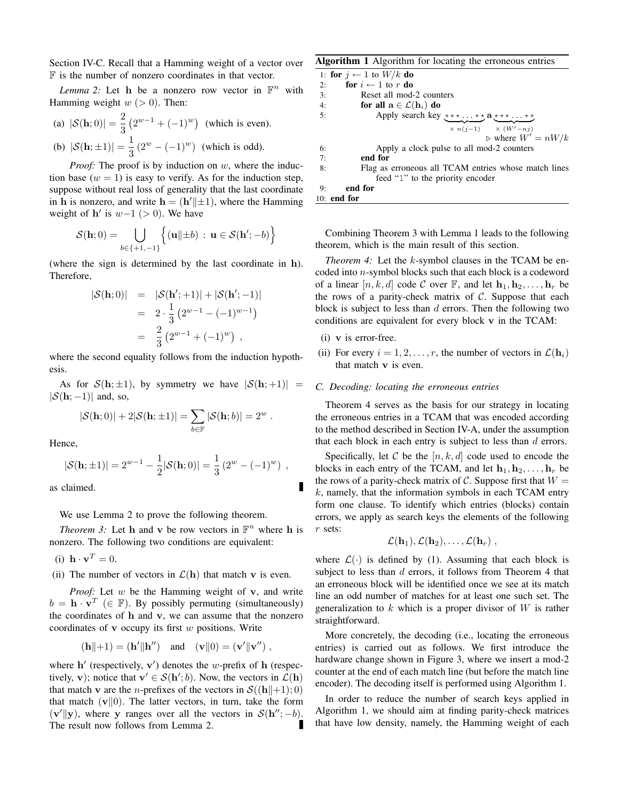Section IV-C. Recall that a Hamming weight of a vector over  $F$  is the number of nonzero coordinates in that vector.

*Lemma 2:* Let h be a nonzero row vector in  $\mathbb{F}^n$  with Hamming weight  $w (> 0)$ . Then:

(a) 
$$
|\mathcal{S}(\mathbf{h};0)| = \frac{2}{3} (2^{w-1} + (-1)^w)
$$
 (which is even).  
\n(b)  $|\mathcal{S}(\mathbf{h}; \pm 1)| = \frac{1}{3} (2^w - (-1)^w)$  (which is odd).

*Proof:* The proof is by induction on w, where the induction base  $(w = 1)$  is easy to verify. As for the induction step, suppose without real loss of generality that the last coordinate in h is nonzero, and write  $\mathbf{h} = (\mathbf{h}' || \pm 1)$ , where the Hamming weight of  $h'$  is  $w-1$  (> 0). We have

$$
\mathcal{S}(\mathbf{h};0) = \bigcup_{b \in \{+1,-1\}} \left\{ (\mathbf{u} \|\pm b) \, : \, \mathbf{u} \in \mathcal{S}(\mathbf{h}';-b) \right\}
$$

(where the sign is determined by the last coordinate in h). Therefore,

$$
|\mathcal{S}(\mathbf{h};0)| = |\mathcal{S}(\mathbf{h}';+1)| + |\mathcal{S}(\mathbf{h}';-1)|
$$
  
=  $2 \cdot \frac{1}{3} (2^{w-1} - (-1)^{w-1})$   
=  $\frac{2}{3} (2^{w-1} + (-1)^w)$ ,

where the second equality follows from the induction hypothesis.

As for  $S(h; \pm 1)$ , by symmetry we have  $|S(h; \pm 1)|$  =  $|\mathcal{S}(\mathbf{h}; -1)|$  and, so,

$$
|\mathcal{S}(\mathbf{h};0)| + 2|\mathcal{S}(\mathbf{h};\pm 1)| = \sum_{b \in \mathbb{F}} |\mathcal{S}(\mathbf{h};b)| = 2^w.
$$

Hence,

$$
|\mathcal{S}(\mathbf{h}; \pm 1)| = 2^{w-1} - \frac{1}{2} |\mathcal{S}(\mathbf{h}; 0)| = \frac{1}{3} (2^w - (-1)^w) ,
$$

as claimed.

We use Lemma 2 to prove the following theorem.

*Theorem 3:* Let **h** and **v** be row vectors in  $\mathbb{F}^n$  where **h** is nonzero. The following two conditions are equivalent:

(i)  $\mathbf{h} \cdot \mathbf{v}^T = 0$ .

(ii) The number of vectors in  $\mathcal{L}(\mathbf{h})$  that match v is even.

*Proof:* Let w be the Hamming weight of v, and write  $b = \mathbf{h} \cdot \mathbf{v}^T \ (\in \mathbb{F})$ . By possibly permuting (simultaneously) the coordinates of  $h$  and  $v$ , we can assume that the nonzero coordinates of  $\bf{v}$  occupy its first  $w$  positions. Write

$$
(\mathbf{h}\Vert+1)=(\mathbf{h}'\Vert\mathbf{h}'')\quad\text{and}\quad (\mathbf{v}\Vert0)=(\mathbf{v}'\Vert\mathbf{v}'')\ ,
$$

where  $\mathbf{h}'$  (respectively,  $\mathbf{v}'$ ) denotes the w-prefix of  $\mathbf{h}$  (respectively, **v**); notice that  $\mathbf{v}' \in \mathcal{S}(\mathbf{h}'; b)$ . Now, the vectors in  $\mathcal{L}(\mathbf{h})$ that match v are the *n*-prefixes of the vectors in  $\mathcal{S}((\mathbf{h}||+1); 0)$ that match  $(v||0)$ . The latter vectors, in turn, take the form  $(v'|y)$ , where y ranges over all the vectors in  $\mathcal{S}(h''; -b)$ . The result now follows from Lemma 2.

# Algorithm 1 Algorithm for locating the erroneous entries

|    | 1: for $j \leftarrow 1$ to $W/k$ do                                                |
|----|------------------------------------------------------------------------------------|
| 2: | for $i \leftarrow 1$ to r do                                                       |
| 3: | Reset all mod-2 counters                                                           |
| 4: | for all $a \in \mathcal{L}(h_i)$ do                                                |
| 5: | Apply search key $x \cdot x \cdot \cdot x \cdot A \cdot x \cdot x \cdot A \cdot x$ |
|    | $\times n(j-1) \times (W'-nj)$                                                     |
|    | $\triangleright$ where $W' = nW/k$                                                 |
| 6: | Apply a clock pulse to all mod-2 counters                                          |
| 7: | end for                                                                            |
| 8: | Flag as erroneous all TCAM entries whose match lines                               |
|    | feed "1" to the priority encoder                                                   |
| 9: | end for                                                                            |
|    | 10: end for                                                                        |

Combining Theorem 3 with Lemma 1 leads to the following theorem, which is the main result of this section.

*Theorem 4:* Let the k-symbol clauses in the TCAM be encoded into n-symbol blocks such that each block is a codeword of a linear  $[n, k, d]$  code C over F, and let  $\mathbf{h}_1, \mathbf{h}_2, \ldots, \mathbf{h}_r$  be the rows of a parity-check matrix of  $C$ . Suppose that each block is subject to less than  $d$  errors. Then the following two conditions are equivalent for every block v in the TCAM:

- (i) v is error-free.
- (ii) For every  $i = 1, 2, ..., r$ , the number of vectors in  $\mathcal{L}(\mathbf{h}_i)$ that match v is even.

#### *C. Decoding: locating the erroneous entries*

Theorem 4 serves as the basis for our strategy in locating the erroneous entries in a TCAM that was encoded according to the method described in Section IV-A, under the assumption that each block in each entry is subject to less than  $d$  errors.

Specifically, let C be the  $[n, k, d]$  code used to encode the blocks in each entry of the TCAM, and let  $\mathbf{h}_1, \mathbf{h}_2, \ldots, \mathbf{h}_r$  be the rows of a parity-check matrix of  $\mathcal{C}$ . Suppose first that  $W =$  $k$ , namely, that the information symbols in each TCAM entry form one clause. To identify which entries (blocks) contain errors, we apply as search keys the elements of the following r sets:

$$
{\cal L}({\bf h}_1), {\cal L}({\bf h}_2), \ldots, {\cal L}({\bf h}_r) \; ,
$$

where  $\mathcal{L}(\cdot)$  is defined by (1). Assuming that each block is subject to less than  $d$  errors, it follows from Theorem 4 that an erroneous block will be identified once we see at its match line an odd number of matches for at least one such set. The generalization to  $k$  which is a proper divisor of  $W$  is rather straightforward.

More concretely, the decoding (i.e., locating the erroneous entries) is carried out as follows. We first introduce the hardware change shown in Figure 3, where we insert a mod-2 counter at the end of each match line (but before the match line encoder). The decoding itself is performed using Algorithm 1.

In order to reduce the number of search keys applied in Algorithm 1, we should aim at finding parity-check matrices that have low density, namely, the Hamming weight of each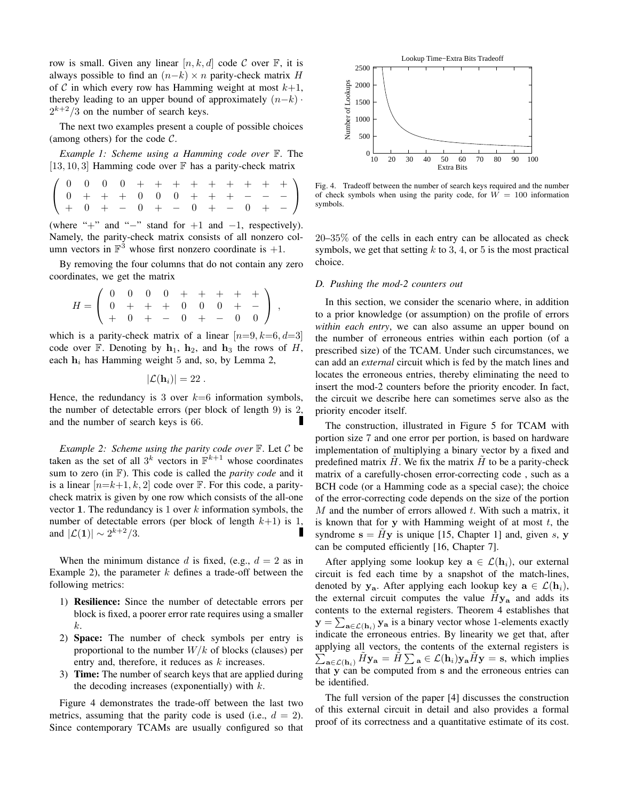row is small. Given any linear  $[n, k, d]$  code C over  $\mathbb{F}$ , it is always possible to find an  $(n-k) \times n$  parity-check matrix H of C in which every row has Hamming weight at most  $k+1$ , thereby leading to an upper bound of approximately  $(n-k)$ .  $2^{k+2}/3$  on the number of search keys.

The next two examples present a couple of possible choices (among others) for the code  $C$ .

*Example 1: Scheme using a Hamming code over* F*.* The [13, 10, 3] Hamming code over  $\mathbb F$  has a parity-check matrix

 $\overline{\phantom{a}}$ 

$$
\left(\n\begin{array}{cccccc}\n0 & 0 & 0 & 0 & + & + & + & + & + & + & + & + & + \\
0 & + & + & + & 0 & 0 & 0 & + & + & + & - & - & - \\
+ & 0 & + & - & 0 & + & - & 0 & + & - & 0 & + & -\n\end{array}\n\right)
$$

(where "+" and "-" stand for +1 and -1, respectively). Namely, the parity-check matrix consists of all nonzero column vectors in  $\mathbb{F}^3$  whose first nonzero coordinate is  $+1$ .

By removing the four columns that do not contain any zero coordinates, we get the matrix

$$
H = \left(\begin{array}{ccccccccc} 0 & 0 & 0 & 0 & + & + & + & + & + \\ 0 & + & + & + & 0 & 0 & 0 & + & - \\ + & 0 & + & - & 0 & + & - & 0 & 0 \end{array}\right) ,
$$

which is a parity-check matrix of a linear  $[n=9, k=6, d=3]$ code over F. Denoting by  $h_1$ ,  $h_2$ , and  $h_3$  the rows of H, each  $h_i$  has Hamming weight 5 and, so, by Lemma 2,

$$
|\mathcal{L}(\mathbf{h}_i)|=22.
$$

Hence, the redundancy is 3 over  $k=6$  information symbols, the number of detectable errors (per block of length 9) is 2, and the number of search keys is 66.

*Example 2: Scheme using the parity code over* F*.* Let C be taken as the set of all  $3^k$  vectors in  $\mathbb{F}^{k+1}$  whose coordinates sum to zero (in F). This code is called the *parity code* and it is a linear  $[n=k+1, k, 2]$  code over F. For this code, a paritycheck matrix is given by one row which consists of the all-one vector 1. The redundancy is 1 over  $k$  information symbols, the number of detectable errors (per block of length  $k+1$ ) is 1, and  $|\mathcal{L}(1)| \sim 2^{k+2}/3$ .

When the minimum distance d is fixed, (e.g.,  $d = 2$  as in Example 2), the parameter  $k$  defines a trade-off between the following metrics:

- 1) Resilience: Since the number of detectable errors per block is fixed, a poorer error rate requires using a smaller k.
- 2) Space: The number of check symbols per entry is proportional to the number  $W/k$  of blocks (clauses) per entry and, therefore, it reduces as  $k$  increases.
- 3) Time: The number of search keys that are applied during the decoding increases (exponentially) with  $k$ .

Figure 4 demonstrates the trade-off between the last two metrics, assuming that the parity code is used (i.e.,  $d = 2$ ). Since contemporary TCAMs are usually configured so that



Fig. 4. Tradeoff between the number of search keys required and the number of check symbols when using the parity code, for  $\overrightarrow{W} = 100$  information symbols.

20–35% of the cells in each entry can be allocated as check symbols, we get that setting  $k$  to 3, 4, or 5 is the most practical choice.

#### *D. Pushing the mod-2 counters out*

 $\mathbf{r}$ 

In this section, we consider the scenario where, in addition to a prior knowledge (or assumption) on the profile of errors *within each entry*, we can also assume an upper bound on the number of erroneous entries within each portion (of a prescribed size) of the TCAM. Under such circumstances, we can add an *external* circuit which is fed by the match lines and locates the erroneous entries, thereby eliminating the need to insert the mod-2 counters before the priority encoder. In fact, the circuit we describe here can sometimes serve also as the priority encoder itself.

The construction, illustrated in Figure 5 for TCAM with portion size 7 and one error per portion, is based on hardware implementation of multiplying a binary vector by a fixed and predefined matrix  $H$ . We fix the matrix  $H$  to be a parity-check matrix of a carefully-chosen error-correcting code , such as a BCH code (or a Hamming code as a special case); the choice of the error-correcting code depends on the size of the portion  $M$  and the number of errors allowed  $t$ . With such a matrix, it is known that for  $y$  with Hamming weight of at most  $t$ , the syndrome  $s = Hy$  is unique [15, Chapter 1] and, given s, y can be computed efficiently [16, Chapter 7].

After applying some lookup key  $a \in \mathcal{L}(h_i)$ , our external circuit is fed each time by a snapshot of the match-lines, denoted by  $y_a$ . After applying each lookup key  $a \in \mathcal{L}(h_i)$ , the external circuit computes the value  $Hy_{a}$  and adds its contents to the external registers. Theorem 4 establishes that P  $y = \sum_{a \in \mathcal{L}(h_i)} y_a$  is a binary vector whose 1-elements exactly indicate the erroneous entries. By linearity we get that, after applying all vectors, the contents of the external registers is plying an vectors, the contents of the external registers is  $a \in \mathcal{L}(h_i)$   $\tilde{H}y_a = \tilde{H} \sum a \in \mathcal{L}(h_i)y_a \tilde{H}y = s$ , which implies that  $y$  can be computed from s and the erroneous entries can be identified.

The full version of the paper [4] discusses the construction of this external circuit in detail and also provides a formal proof of its correctness and a quantitative estimate of its cost.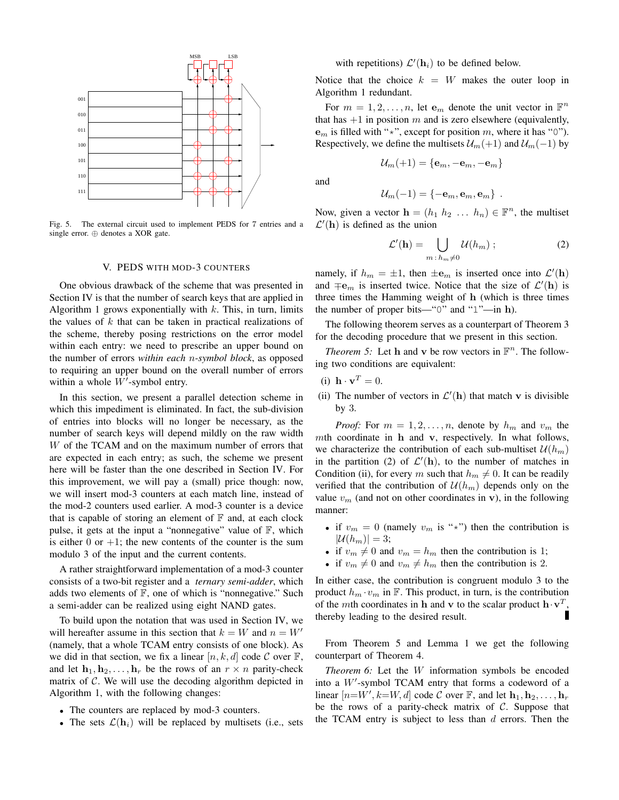

Fig. 5. The external circuit used to implement PEDS for 7 entries and a single error. ⊕ denotes a XOR gate.

#### V. PEDS WITH MOD-3 COUNTERS

One obvious drawback of the scheme that was presented in Section IV is that the number of search keys that are applied in Algorithm 1 grows exponentially with  $k$ . This, in turn, limits the values of  $k$  that can be taken in practical realizations of the scheme, thereby posing restrictions on the error model within each entry: we need to prescribe an upper bound on the number of errors *within each* n*-symbol block*, as opposed to requiring an upper bound on the overall number of errors within a whole  $W'$ -symbol entry.

In this section, we present a parallel detection scheme in which this impediment is eliminated. In fact, the sub-division of entries into blocks will no longer be necessary, as the number of search keys will depend mildly on the raw width W of the TCAM and on the maximum number of errors that are expected in each entry; as such, the scheme we present here will be faster than the one described in Section IV. For this improvement, we will pay a (small) price though: now, we will insert mod-3 counters at each match line, instead of the mod-2 counters used earlier. A mod-3 counter is a device that is capable of storing an element of  $\mathbb F$  and, at each clock pulse, it gets at the input a "nonnegative" value of  $\mathbb{F}$ , which is either  $0$  or  $+1$ ; the new contents of the counter is the sum modulo 3 of the input and the current contents.

A rather straightforward implementation of a mod-3 counter consists of a two-bit register and a *ternary semi-adder*, which adds two elements of  $F$ , one of which is "nonnegative." Such a semi-adder can be realized using eight NAND gates.

To build upon the notation that was used in Section IV, we will hereafter assume in this section that  $k = W$  and  $n = W'$ (namely, that a whole TCAM entry consists of one block). As we did in that section, we fix a linear  $[n, k, d]$  code C over  $\mathbb{F}$ , and let  $h_1, h_2, \ldots, h_r$  be the rows of an  $r \times n$  parity-check matrix of C. We will use the decoding algorithm depicted in Algorithm 1, with the following changes:

- The counters are replaced by mod-3 counters.
- The sets  $\mathcal{L}(\mathbf{h}_i)$  will be replaced by multisets (i.e., sets

with repetitions)  $\mathcal{L}'(\mathbf{h}_i)$  to be defined below.

Notice that the choice  $k = W$  makes the outer loop in Algorithm 1 redundant.

For  $m = 1, 2, ..., n$ , let  $e_m$  denote the unit vector in  $\mathbb{F}^n$ that has  $+1$  in position m and is zero elsewhere (equivalently,  $e<sub>m</sub>$  is filled with "\*", except for position m, where it has "0"). Respectively, we define the multisets  $\mathcal{U}_m(+1)$  and  $\mathcal{U}_m(-1)$  by

 $U_m(+1) = {e_m, -e_m, -e_m}$ 

and

$$
\mathcal{U}_m(-1) = \{-\mathbf{e}_m, \mathbf{e}_m, \mathbf{e}_m\}.
$$

Now, given a vector  $\mathbf{h} = (h_1 \ h_2 \ \dots \ h_n) \in \mathbb{F}^n$ , the multiset  $\mathcal{L}'(\mathbf{h})$  is defined as the union

$$
\mathcal{L}'(\mathbf{h}) = \bigcup_{m \,:\, h_m \neq 0} \mathcal{U}(h_m) \;;\tag{2}
$$

namely, if  $h_m = \pm 1$ , then  $\pm \mathbf{e}_m$  is inserted once into  $\mathcal{L}'(\mathbf{h})$ and  $\mp \mathbf{e}_m$  is inserted twice. Notice that the size of  $\mathcal{L}'(\mathbf{h})$  is three times the Hamming weight of h (which is three times the number of proper bits—"0" and "1"—in h).

The following theorem serves as a counterpart of Theorem 3 for the decoding procedure that we present in this section.

*Theorem 5:* Let **h** and **v** be row vectors in  $\mathbb{F}^n$ . The following two conditions are equivalent:

- (i)  $\mathbf{h} \cdot \mathbf{v}^T = 0$ .
- (ii) The number of vectors in  $\mathcal{L}'(\mathbf{h})$  that match v is divisible by 3.

*Proof:* For  $m = 1, 2, \ldots, n$ , denote by  $h_m$  and  $v_m$  the  $m$ th coordinate in  $h$  and  $v$ , respectively. In what follows, we characterize the contribution of each sub-multiset  $\mathcal{U}(h_m)$ in the partition (2) of  $\mathcal{L}'(\mathbf{h})$ , to the number of matches in Condition (ii), for every m such that  $h_m \neq 0$ . It can be readily verified that the contribution of  $\mathcal{U}(h_m)$  depends only on the value  $v_m$  (and not on other coordinates in v), in the following manner:

- if  $v_m = 0$  (namely  $v_m$  is "\*") then the contribution is  $|\mathcal{U}(h_m)|=3;$
- if  $v_m \neq 0$  and  $v_m = h_m$  then the contribution is 1;
- if  $v_m \neq 0$  and  $v_m \neq h_m$  then the contribution is 2.

In either case, the contribution is congruent modulo 3 to the product  $h_m \cdot v_m$  in F. This product, in turn, is the contribution of the *m*th coordinates in h and v to the scalar product  $\mathbf{h} \cdot \mathbf{v}^T$ , thereby leading to the desired result.

From Theorem 5 and Lemma 1 we get the following counterpart of Theorem 4.

*Theorem 6:* Let the W information symbols be encoded into a  $W'$ -symbol TCAM entry that forms a codeword of a linear  $[n=W', k=W, d]$  code C over F, and let  $\mathbf{h}_1, \mathbf{h}_2, \ldots, \mathbf{h}_r$ be the rows of a parity-check matrix of  $C$ . Suppose that the TCAM entry is subject to less than  $d$  errors. Then the